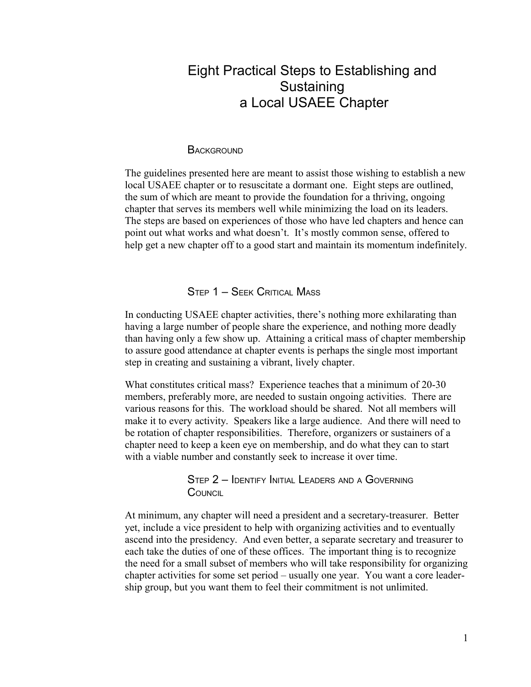# Eight Practical Steps to Establishing and **Sustaining** a Local USAEE Chapter

#### **BACKGROUND**

The guidelines presented here are meant to assist those wishing to establish a new local USAEE chapter or to resuscitate a dormant one. Eight steps are outlined, the sum of which are meant to provide the foundation for a thriving, ongoing chapter that serves its members well while minimizing the load on its leaders. The steps are based on experiences of those who have led chapters and hence can point out what works and what doesn't. It's mostly common sense, offered to help get a new chapter off to a good start and maintain its momentum indefinitely.

### STEP 1 – SEEK CRITICAL MASS

In conducting USAEE chapter activities, there's nothing more exhilarating than having a large number of people share the experience, and nothing more deadly than having only a few show up. Attaining a critical mass of chapter membership to assure good attendance at chapter events is perhaps the single most important step in creating and sustaining a vibrant, lively chapter.

What constitutes critical mass? Experience teaches that a minimum of 20-30 members, preferably more, are needed to sustain ongoing activities. There are various reasons for this. The workload should be shared. Not all members will make it to every activity. Speakers like a large audience. And there will need to be rotation of chapter responsibilities. Therefore, organizers or sustainers of a chapter need to keep a keen eye on membership, and do what they can to start with a viable number and constantly seek to increase it over time.

> STEP 2 – IDENTIFY INITIAL LEADERS AND <sup>A</sup> GOVERNING **COUNCIL**

At minimum, any chapter will need a president and a secretary-treasurer. Better yet, include a vice president to help with organizing activities and to eventually ascend into the presidency. And even better, a separate secretary and treasurer to each take the duties of one of these offices. The important thing is to recognize the need for a small subset of members who will take responsibility for organizing chapter activities for some set period – usually one year. You want a core leadership group, but you want them to feel their commitment is not unlimited.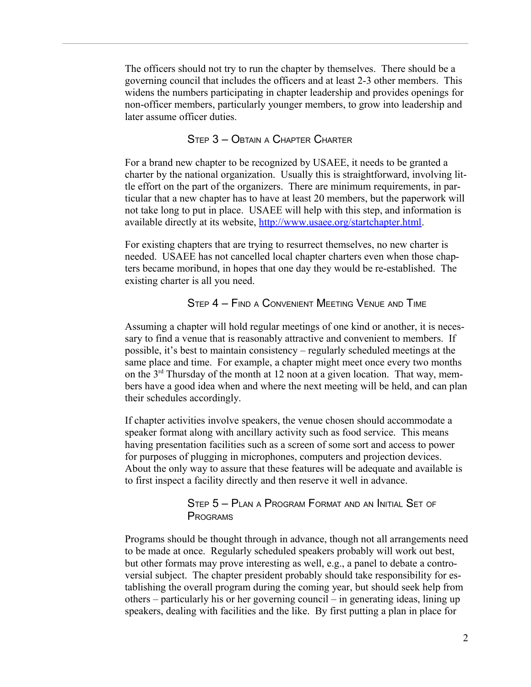The officers should not try to run the chapter by themselves. There should be a governing council that includes the officers and at least 2-3 other members. This widens the numbers participating in chapter leadership and provides openings for non-officer members, particularly younger members, to grow into leadership and later assume officer duties.

### STEP 3 – OBTAIN <sup>A</sup> CHAPTER CHARTER

For a brand new chapter to be recognized by USAEE, it needs to be granted a charter by the national organization. Usually this is straightforward, involving little effort on the part of the organizers. There are minimum requirements, in particular that a new chapter has to have at least 20 members, but the paperwork will not take long to put in place. USAEE will help with this step, and information is available directly at its website, [http://www.usaee.org/startchapter.html.](http://www.usaee.org/startchapter.html)

For existing chapters that are trying to resurrect themselves, no new charter is needed. USAEE has not cancelled local chapter charters even when those chapters became moribund, in hopes that one day they would be re-established. The existing charter is all you need.

#### STEP 4 – FIND A CONVENIENT MEETING VENUE AND TIME

Assuming a chapter will hold regular meetings of one kind or another, it is necessary to find a venue that is reasonably attractive and convenient to members. If possible, it's best to maintain consistency – regularly scheduled meetings at the same place and time. For example, a chapter might meet once every two months on the 3rd Thursday of the month at 12 noon at a given location. That way, members have a good idea when and where the next meeting will be held, and can plan their schedules accordingly.

If chapter activities involve speakers, the venue chosen should accommodate a speaker format along with ancillary activity such as food service. This means having presentation facilities such as a screen of some sort and access to power for purposes of plugging in microphones, computers and projection devices. About the only way to assure that these features will be adequate and available is to first inspect a facility directly and then reserve it well in advance.

### STEP 5 – PLAN <sup>A</sup> PROGRAM FORMAT AND AN INITIAL SET OF PROGRAMS

Programs should be thought through in advance, though not all arrangements need to be made at once. Regularly scheduled speakers probably will work out best, but other formats may prove interesting as well, e.g., a panel to debate a controversial subject. The chapter president probably should take responsibility for establishing the overall program during the coming year, but should seek help from others – particularly his or her governing council – in generating ideas, lining up speakers, dealing with facilities and the like. By first putting a plan in place for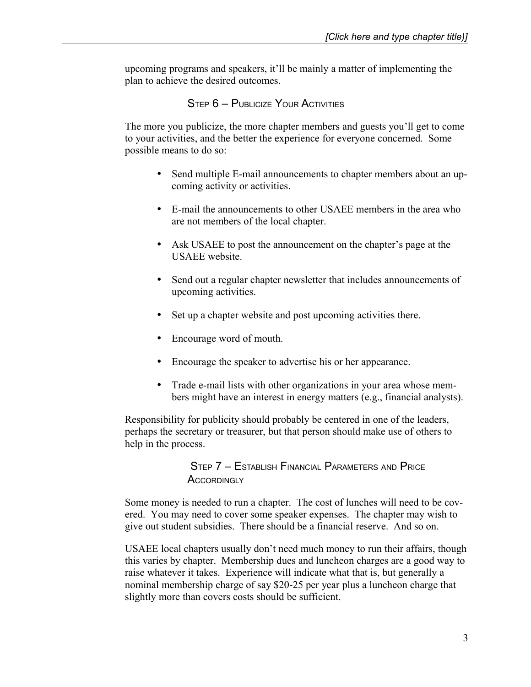upcoming programs and speakers, it'll be mainly a matter of implementing the plan to achieve the desired outcomes.

## STEP 6 – PUBLICIZE YOUR ACTIVITIES

The more you publicize, the more chapter members and guests you'll get to come to your activities, and the better the experience for everyone concerned. Some possible means to do so:

- Send multiple E-mail announcements to chapter members about an upcoming activity or activities.
- E-mail the announcements to other USAEE members in the area who are not members of the local chapter.
- Ask USAEE to post the announcement on the chapter's page at the USAEE website.
- Send out a regular chapter newsletter that includes announcements of upcoming activities.
- Set up a chapter website and post upcoming activities there.
- Encourage word of mouth.
- Encourage the speaker to advertise his or her appearance.
- Trade e-mail lists with other organizations in your area whose members might have an interest in energy matters (e.g., financial analysts).

Responsibility for publicity should probably be centered in one of the leaders, perhaps the secretary or treasurer, but that person should make use of others to help in the process.

> STEP 7 – ESTABLISH FINANCIAL PARAMETERS AND PRICE ACCORDINGLY

Some money is needed to run a chapter. The cost of lunches will need to be covered. You may need to cover some speaker expenses. The chapter may wish to give out student subsidies. There should be a financial reserve. And so on.

USAEE local chapters usually don't need much money to run their affairs, though this varies by chapter. Membership dues and luncheon charges are a good way to raise whatever it takes. Experience will indicate what that is, but generally a nominal membership charge of say \$20-25 per year plus a luncheon charge that slightly more than covers costs should be sufficient.